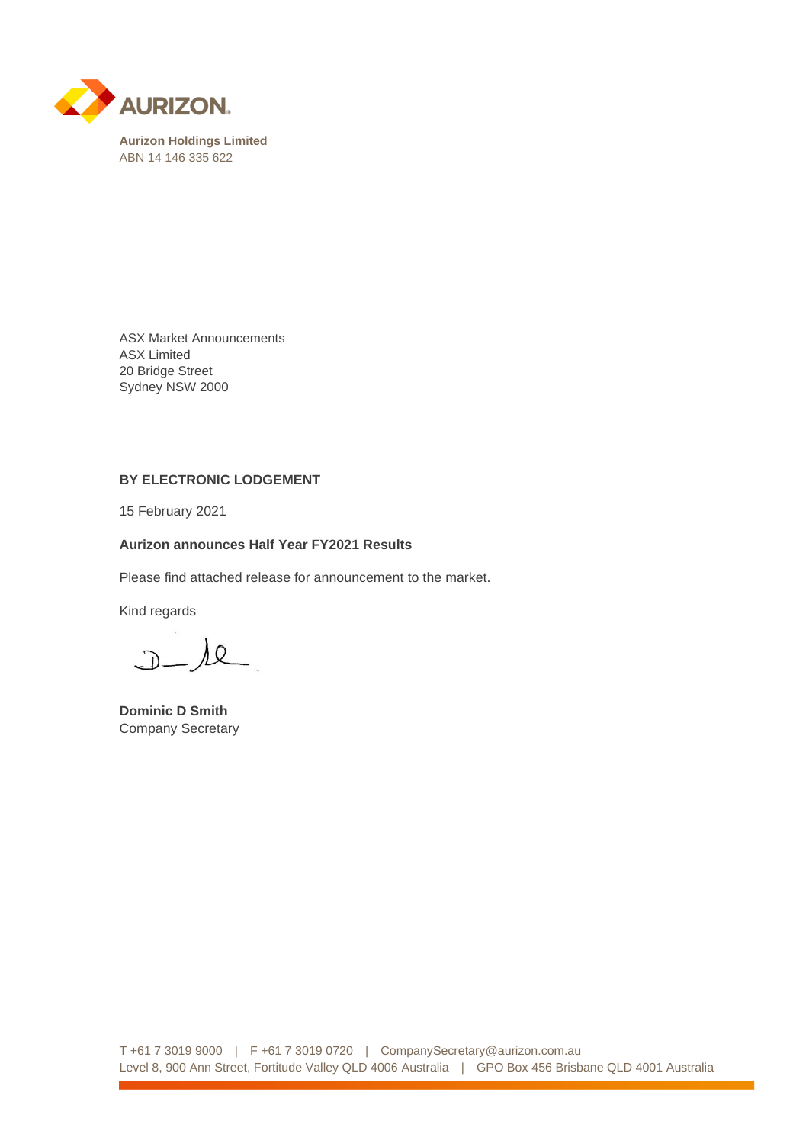

ASX Market Announcements ASX Limited 20 Bridge Street Sydney NSW 2000

#### **BY ELECTRONIC LODGEMENT**

15 February 2021

## **Aurizon announces Half Year FY2021 Results**

Please find attached release for announcement to the market.

Kind regards

 $J-l$ e

**Dominic D Smith** Company Secretary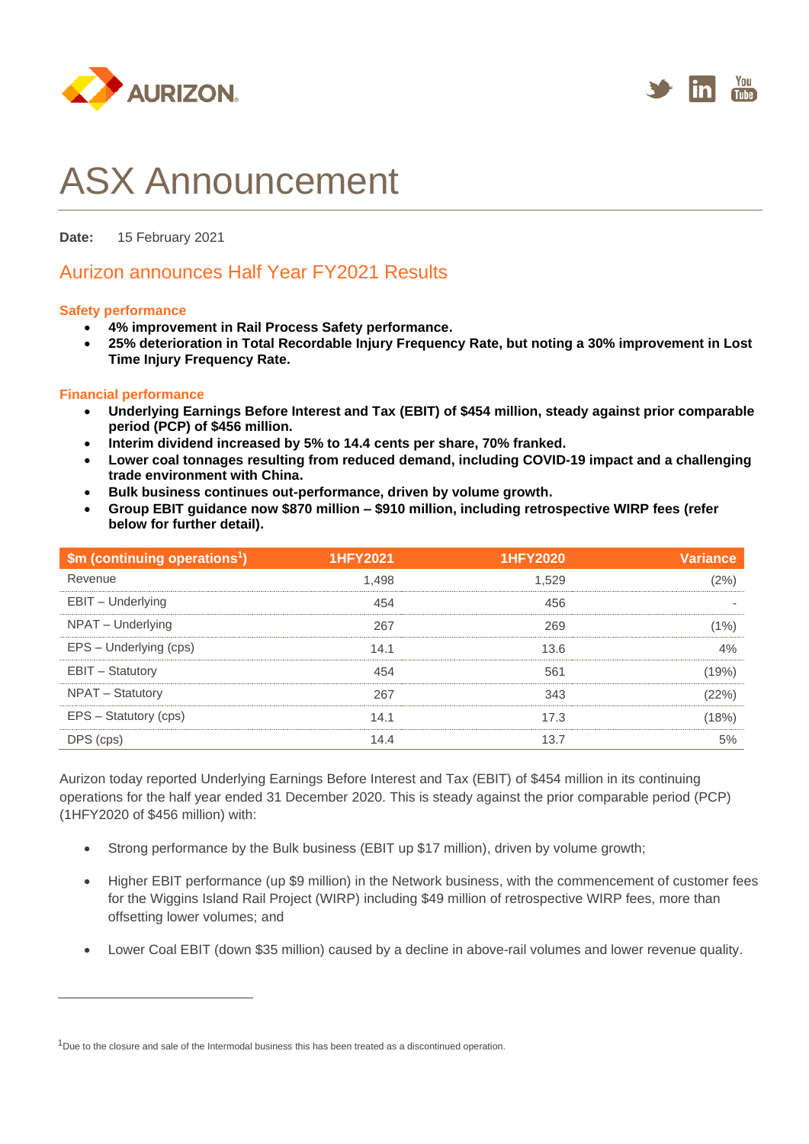



# ASX Announcement

**Date:** 15 February 2021

# Aurizon announces Half Year FY2021 Results

#### **Safety performance**

- **4% improvement in Rail Process Safety performance.**
- **25% deterioration in Total Recordable Injury Frequency Rate, but noting a 30% improvement in Lost Time Injury Frequency Rate.**

#### **Financial performance**

- **Underlying Earnings Before Interest and Tax (EBIT) of \$454 million, steady against prior comparable period (PCP) of \$456 million.**
- **Interim dividend increased by 5% to 14.4 cents per share, 70% franked.**
- **Lower coal tonnages resulting from reduced demand, including COVID-19 impact and a challenging trade environment with China.**
- **Bulk business continues out-performance, driven by volume growth.**
- **Group EBIT guidance now \$870 million – \$910 million, including retrospective WIRP fees (refer below for further detail).**

| \$m (continuing operations <sup>1</sup> ) | <b>1HFY2021</b> | <b>1HFY2020</b> | <b>Variance</b> |
|-------------------------------------------|-----------------|-----------------|-----------------|
| Revenue                                   | 1.498           | 1.529           | (2%)            |
| EBIT - Underlying                         | 454             | 456             |                 |
| NPAT - Underlying                         | 267             | 269             | (1%)            |
| EPS - Underlying (cps)                    | 14.1            | 13.6            | 4%              |
| <b>EBIT - Statutory</b>                   | 454             | 561             | (19%)           |
| NPAT - Statutory                          | 267             | 343             | (22%)           |
| EPS - Statutory (cps)                     | 14.1            | 17.3            | (18%)           |
| DPS (cps)                                 | 14.4            | 13.7            | 5%              |

Aurizon today reported Underlying Earnings Before Interest and Tax (EBIT) of \$454 million in its continuing operations for the half year ended 31 December 2020. This is steady against the prior comparable period (PCP) (1HFY2020 of \$456 million) with:

- Strong performance by the Bulk business (EBIT up \$17 million), driven by volume growth;
- Higher EBIT performance (up \$9 million) in the Network business, with the commencement of customer fees for the Wiggins Island Rail Project (WIRP) including \$49 million of retrospective WIRP fees, more than offsetting lower volumes; and
- Lower Coal EBIT (down \$35 million) caused by a decline in above-rail volumes and lower revenue quality.

 $1$ Due to the closure and sale of the Intermodal business this has been treated as a discontinued operation.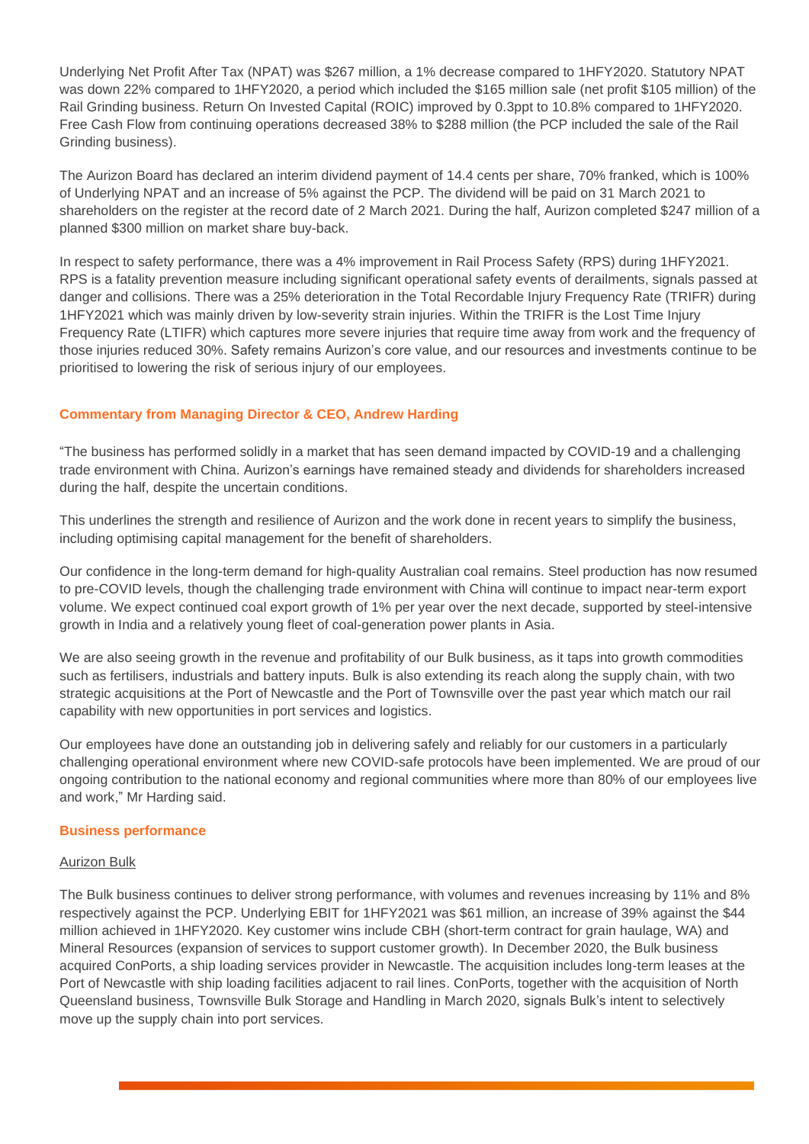Underlying Net Profit After Tax (NPAT) was \$267 million, a 1% decrease compared to 1HFY2020. Statutory NPAT was down 22% compared to 1HFY2020, a period which included the \$165 million sale (net profit \$105 million) of the Rail Grinding business. Return On Invested Capital (ROIC) improved by 0.3ppt to 10.8% compared to 1HFY2020. Free Cash Flow from continuing operations decreased 38% to \$288 million (the PCP included the sale of the Rail Grinding business).

The Aurizon Board has declared an interim dividend payment of 14.4 cents per share, 70% franked, which is 100% of Underlying NPAT and an increase of 5% against the PCP. The dividend will be paid on 31 March 2021 to shareholders on the register at the record date of 2 March 2021. During the half, Aurizon completed \$247 million of a planned \$300 million on market share buy-back.

In respect to safety performance, there was a 4% improvement in Rail Process Safety (RPS) during 1HFY2021. RPS is a fatality prevention measure including significant operational safety events of derailments, signals passed at danger and collisions. There was a 25% deterioration in the Total Recordable Injury Frequency Rate (TRIFR) during 1HFY2021 which was mainly driven by low-severity strain injuries. Within the TRIFR is the Lost Time Injury Frequency Rate (LTIFR) which captures more severe injuries that require time away from work and the frequency of those injuries reduced 30%. Safety remains Aurizon's core value, and our resources and investments continue to be prioritised to lowering the risk of serious injury of our employees.

# **Commentary from Managing Director & CEO, Andrew Harding**

"The business has performed solidly in a market that has seen demand impacted by COVID-19 and a challenging trade environment with China. Aurizon's earnings have remained steady and dividends for shareholders increased during the half, despite the uncertain conditions.

This underlines the strength and resilience of Aurizon and the work done in recent years to simplify the business, including optimising capital management for the benefit of shareholders.

Our confidence in the long-term demand for high-quality Australian coal remains. Steel production has now resumed to pre-COVID levels, though the challenging trade environment with China will continue to impact near-term export volume. We expect continued coal export growth of 1% per year over the next decade, supported by steel-intensive growth in India and a relatively young fleet of coal-generation power plants in Asia.

We are also seeing growth in the revenue and profitability of our Bulk business, as it taps into growth commodities such as fertilisers, industrials and battery inputs. Bulk is also extending its reach along the supply chain, with two strategic acquisitions at the Port of Newcastle and the Port of Townsville over the past year which match our rail capability with new opportunities in port services and logistics.

Our employees have done an outstanding job in delivering safely and reliably for our customers in a particularly challenging operational environment where new COVID-safe protocols have been implemented. We are proud of our ongoing contribution to the national economy and regional communities where more than 80% of our employees live and work," Mr Harding said.

#### **Business performance**

#### Aurizon Bulk

The Bulk business continues to deliver strong performance, with volumes and revenues increasing by 11% and 8% respectively against the PCP. Underlying EBIT for 1HFY2021 was \$61 million, an increase of 39% against the \$44 million achieved in 1HFY2020. Key customer wins include CBH (short-term contract for grain haulage, WA) and Mineral Resources (expansion of services to support customer growth). In December 2020, the Bulk business acquired ConPorts, a ship loading services provider in Newcastle. The acquisition includes long-term leases at the Port of Newcastle with ship loading facilities adjacent to rail lines. ConPorts, together with the acquisition of North Queensland business, Townsville Bulk Storage and Handling in March 2020, signals Bulk's intent to selectively move up the supply chain into port services.